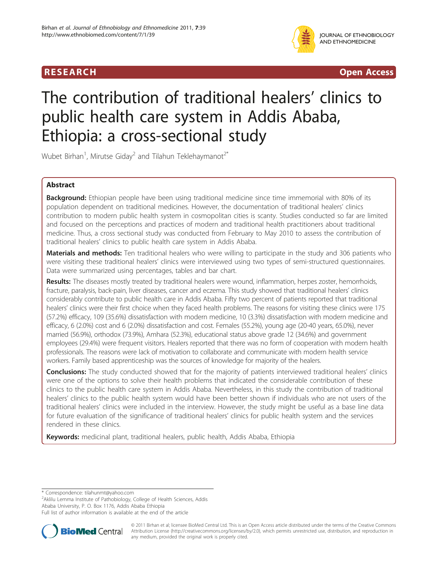

**RESEARCH** Open Access

# The contribution of traditional healers' clinics to public health care system in Addis Ababa, Ethiopia: a cross-sectional study

Wubet Birhan<sup>1</sup>, Mirutse Giday<sup>2</sup> and Tilahun Teklehaymanot<sup>2\*</sup>

# Abstract

Background: Ethiopian people have been using traditional medicine since time immemorial with 80% of its population dependent on traditional medicines. However, the documentation of traditional healers' clinics contribution to modern public health system in cosmopolitan cities is scanty. Studies conducted so far are limited and focused on the perceptions and practices of modern and traditional health practitioners about traditional medicine. Thus, a cross sectional study was conducted from February to May 2010 to assess the contribution of traditional healers' clinics to public health care system in Addis Ababa.

Materials and methods: Ten traditional healers who were willing to participate in the study and 306 patients who were visiting these traditional healers' clinics were interviewed using two types of semi-structured questionnaires. Data were summarized using percentages, tables and bar chart.

Results: The diseases mostly treated by traditional healers were wound, inflammation, herpes zoster, hemorrhoids, fracture, paralysis, back-pain, liver diseases, cancer and eczema. This study showed that traditional healers' clinics considerably contribute to public health care in Addis Ababa. Fifty two percent of patients reported that traditional healers' clinics were their first choice when they faced health problems. The reasons for visiting these clinics were 175 (57.2%) efficacy, 109 (35.6%) dissatisfaction with modern medicine, 10 (3.3%) dissatisfaction with modern medicine and efficacy, 6 (2.0%) cost and 6 (2.0%) dissatisfaction and cost. Females (55.2%), young age (20-40 years, 65.0%), never married (56.9%), orthodox (73.9%), Amhara (52.3%), educational status above grade 12 (34.6%) and government employees (29.4%) were frequent visitors. Healers reported that there was no form of cooperation with modern health professionals. The reasons were lack of motivation to collaborate and communicate with modern health service workers. Family based apprenticeship was the sources of knowledge for majority of the healers.

Conclusions: The study conducted showed that for the majority of patients interviewed traditional healers' clinics were one of the options to solve their health problems that indicated the considerable contribution of these clinics to the public health care system in Addis Ababa. Nevertheless, in this study the contribution of traditional healers' clinics to the public health system would have been better shown if individuals who are not users of the traditional healers' clinics were included in the interview. However, the study might be useful as a base line data for future evaluation of the significance of traditional healers' clinics for public health system and the services rendered in these clinics.

Keywords: medicinal plant, traditional healers, public health, Addis Ababa, Ethiopia

<sup>2</sup> Aklilu Lemma Institute of Pathobiology, College of Health Sciences, Addis Ababa University, P. O. Box 1176, Addis Ababa Ethiopia

Full list of author information is available at the end of the article



© 2011 Birhan et al; licensee BioMed Central Ltd. This is an Open Access article distributed under the terms of the Creative Commons Attribution License [\(http://creativecommons.org/licenses/by/2.0](http://creativecommons.org/licenses/by/2.0)), which permits unrestricted use, distribution, and reproduction in any medium, provided the original work is properly cited.

<sup>\*</sup> Correspondence: [tilahunmt@yahoo.com](mailto:tilahunmt@yahoo.com)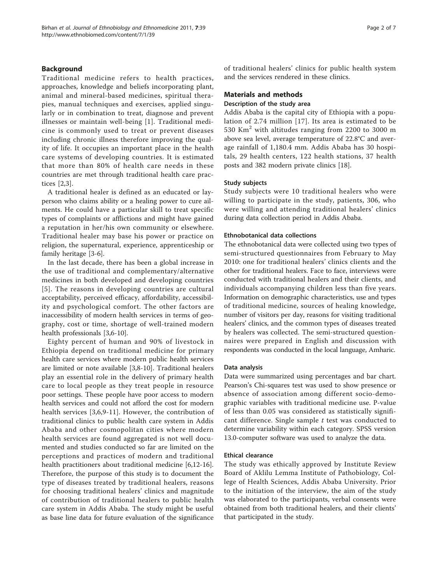# Background

Traditional medicine refers to health practices, approaches, knowledge and beliefs incorporating plant, animal and mineral-based medicines, spiritual therapies, manual techniques and exercises, applied singularly or in combination to treat, diagnose and prevent illnesses or maintain well-being [\[1](#page-6-0)]. Traditional medicine is commonly used to treat or prevent diseases including chronic illness therefore improving the quality of life. It occupies an important place in the health care systems of developing countries. It is estimated that more than 80% of health care needs in these countries are met through traditional health care practices [[2,3](#page-6-0)].

A traditional healer is defined as an educated or layperson who claims ability or a healing power to cure ailments. He could have a particular skill to treat specific types of complaints or afflictions and might have gained a reputation in her/his own community or elsewhere. Traditional healer may base his power or practice on religion, the supernatural, experience, apprenticeship or family heritage [[3-6\]](#page-6-0).

In the last decade, there has been a global increase in the use of traditional and complementary/alternative medicines in both developed and developing countries [[5](#page-6-0)]. The reasons in developing countries are cultural acceptability, perceived efficacy, affordability, accessibility and psychological comfort. The other factors are inaccessibility of modern health services in terms of geography, cost or time, shortage of well-trained modern health professionals [[3,6-10\]](#page-6-0).

Eighty percent of human and 90% of livestock in Ethiopia depend on traditional medicine for primary health care services where modern public health services are limited or note available [\[3,8](#page-6-0)-[10\]](#page-6-0). Traditional healers play an essential role in the delivery of primary health care to local people as they treat people in resource poor settings. These people have poor access to modern health services and could not afford the cost for modern health services [[3,6](#page-6-0),[9-11](#page-6-0)]. However, the contribution of traditional clinics to public health care system in Addis Ababa and other cosmopolitan cities where modern health services are found aggregated is not well documented and studies conducted so far are limited on the perceptions and practices of modern and traditional health practitioners about traditional medicine [\[6,12-16](#page-6-0)]. Therefore, the purpose of this study is to document the type of diseases treated by traditional healers, reasons for choosing traditional healers' clinics and magnitude of contribution of traditional healers to public health care system in Addis Ababa. The study might be useful as base line data for future evaluation of the significance of traditional healers' clinics for public health system and the services rendered in these clinics.

# Materials and methods

# Description of the study area

Addis Ababa is the capital city of Ethiopia with a population of 2.74 million [[17](#page-6-0)]. Its area is estimated to be 530 Km<sup>2</sup> with altitudes ranging from 2200 to 3000 m above sea level, average temperature of 22.8°C and average rainfall of 1,180.4 mm. Addis Ababa has 30 hospitals, 29 health centers, 122 health stations, 37 health posts and 382 modern private clinics [\[18\]](#page-6-0).

# Study subjects

Study subjects were 10 traditional healers who were willing to participate in the study, patients, 306, who were willing and attending traditional healers' clinics during data collection period in Addis Ababa.

# Ethnobotanical data collections

The ethnobotanical data were collected using two types of semi-structured questionnaires from February to May 2010: one for traditional healers' clinics clients and the other for traditional healers. Face to face, interviews were conducted with traditional healers and their clients, and individuals accompanying children less than five years. Information on demographic characteristics, use and types of traditional medicine, sources of healing knowledge, number of visitors per day, reasons for visiting traditional healers' clinics, and the common types of diseases treated by healers was collected. The semi-structured questionnaires were prepared in English and discussion with respondents was conducted in the local language, Amharic.

# Data analysis

Data were summarized using percentages and bar chart. Pearson's Chi-squares test was used to show presence or absence of association among different socio-demographic variables with traditional medicine use. P-value of less than 0.05 was considered as statistically significant difference. Single sample  $t$  test was conducted to determine variability within each category. SPSS version 13.0-computer software was used to analyze the data.

# Ethical clearance

The study was ethically approved by Institute Review Board of Aklilu Lemma Institute of Pathobiology, College of Health Sciences, Addis Ababa University. Prior to the initiation of the interview, the aim of the study was elaborated to the participants, verbal consents were obtained from both traditional healers, and their clients' that participated in the study.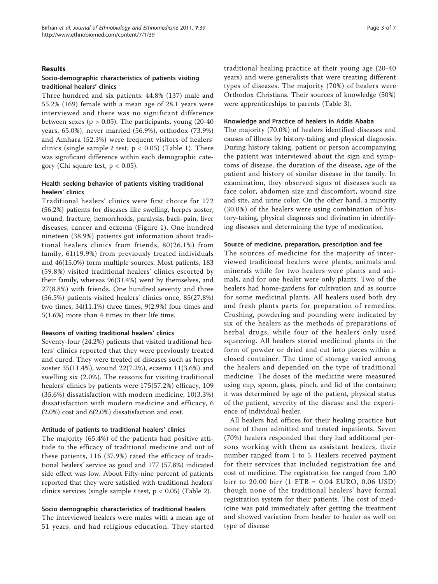# Results

# Socio-demographic characteristics of patients visiting traditional healers' clinics

Three hundred and six patients: 44.8% (137) male and 55.2% (169) female with a mean age of 28.1 years were interviewed and there was no significant difference between sexes ( $p > 0.05$ ). The participants, young (20-40) years, 65.0%), never married (56.9%), orthodox (73.9%) and Amhara (52.3%) were frequent visitors of healers' clinics (single sample  $t$  test,  $p < 0.05$ ) (Table [1](#page-3-0)). There was significant difference within each demographic category (Chi square test,  $p < 0.05$ ).

# Health seeking behavior of patients visiting traditional healers' clinics

Traditional healers' clinics were first choice for 172 (56.2%) patients for diseases like swelling, herpes zoster, wound, fracture, hemorrhoids, paralysis, back-pain, liver diseases, cancer and eczema (Figure [1](#page-4-0)). One hundred nineteen (38.9%) patients got information about traditional healers clinics from friends, 80(26.1%) from family, 61(19.9%) from previously treated individuals and 46(15.0%) form multiple sources. Most patients, 183 (59.8%) visited traditional healers' clinics escorted by their family, whereas 96(31.4%) went by themselves, and 27(8.8%) with friends. One hundred seventy and three (56.5%) patients visited healers' clinics once, 85(27.8%) two times, 34(11.1%) three times, 9(2.9%) four times and 5(1.6%) more than 4 times in their life time.

### Reasons of visiting traditional healers' clinics

Seventy-four (24.2%) patients that visited traditional healers' clinics reported that they were previously treated and cured. They were treated of diseases such as herpes zoster 35(11.4%), wound 22(7.2%), eczema 11(3.6%) and swelling six (2.0%). The reasons for visiting traditional healers' clinics by patients were 175(57.2%) efficacy, 109 (35.6%) dissatisfaction with modern medicine, 10(3.3%) dissatisfaction with modern medicine and efficacy, 6 (2.0%) cost and 6(2.0%) dissatisfaction and cost.

# Attitude of patients to traditional healers' clinics

The majority (65.4%) of the patients had positive attitude to the efficacy of traditional medicine and out of these patients, 116 (37.9%) rated the efficacy of traditional healers' service as good and 177 (57.8%) indicated side effect was low. About Fifty-nine percent of patients reported that they were satisfied with traditional healers' clinics services (single sample  $t$  test,  $p < 0.05$ ) (Table [2\)](#page-4-0).

### Socio demographic characteristics of traditional healers

The interviewed healers were males with a mean age of 51 years, and had religious education. They started traditional healing practice at their young age (20-40 years) and were generalists that were treating different types of diseases. The majority (70%) of healers were Orthodox Christians. Their sources of knowledge (50%) were apprenticeships to parents (Table [3](#page-5-0)).

### Knowledge and Practice of healers in Addis Ababa

The majority (70.0%) of healers identified diseases and causes of illness by history-taking and physical diagnosis. During history taking, patient or person accompanying the patient was interviewed about the sign and symptoms of disease, the duration of the disease, age of the patient and history of similar disease in the family. In examination, they observed signs of diseases such as face color, abdomen size and discomfort, wound size and site, and urine color. On the other hand, a minority (30.0%) of the healers were using combination of history-taking, physical diagnosis and divination in identifying diseases and determining the type of medication.

# Source of medicine, preparation, prescription and fee

The sources of medicine for the majority of interviewed traditional healers were plants, animals and minerals while for two healers were plants and animals, and for one healer were only plants. Two of the healers had home-gardens for cultivation and as source for some medicinal plants. All healers used both dry and fresh plants parts for preparation of remedies. Crushing, powdering and pounding were indicated by six of the healers as the methods of preparations of herbal drugs, while four of the healers only used squeezing. All healers stored medicinal plants in the form of powder or dried and cut into pieces within a closed container. The time of storage varied among the healers and depended on the type of traditional medicine. The doses of the medicine were measured using cup, spoon, glass, pinch, and lid of the container; it was determined by age of the patient, physical status of the patient, severity of the disease and the experience of individual healer.

All healers had offices for their healing practice but none of them admitted and treated inpatients. Seven (70%) healers responded that they had additional persons working with them as assistant healers, their number ranged from 1 to 5. Healers received payment for their services that included registration fee and cost of medicine. The registration fee ranged from 2.00 birr to 20.00 birr (1 ETB = 0.04 EURO, 0.06 USD) though none of the traditional healers' have formal registration system for their patients. The cost of medicine was paid immediately after getting the treatment and showed variation from healer to healer as well on type of disease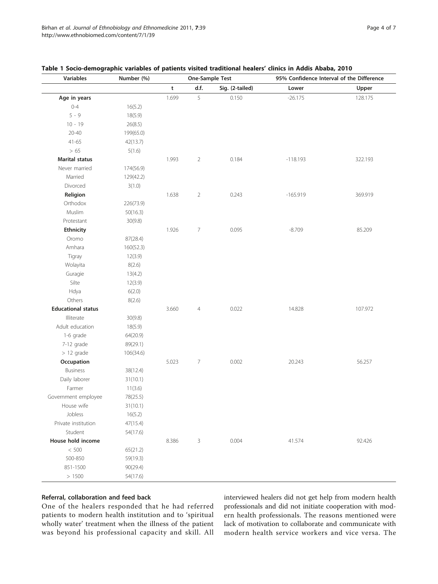| Variables                 | Number (%) | <b>One-Sample Test</b> |                | 95% Confidence Interval of the Difference |            |         |
|---------------------------|------------|------------------------|----------------|-------------------------------------------|------------|---------|
|                           |            | t                      | d.f.           | Sig. (2-tailed)                           | Lower      | Upper   |
| Age in years              |            | 1.699                  | 5              | 0.150                                     | $-26.175$  | 128.175 |
| $0 - 4$                   | 16(5.2)    |                        |                |                                           |            |         |
| $5 - 9$                   | 18(5.9)    |                        |                |                                           |            |         |
| $10 - 19$                 | 26(8.5)    |                        |                |                                           |            |         |
| $20 - 40$                 | 199(65.0)  |                        |                |                                           |            |         |
| $41 - 65$                 | 42(13.7)   |                        |                |                                           |            |         |
| > 65                      | 5(1.6)     |                        |                |                                           |            |         |
| <b>Marital status</b>     |            | 1.993                  | $\overline{2}$ | 0.184                                     | $-118.193$ | 322.193 |
| Never married             | 174(56.9)  |                        |                |                                           |            |         |
| Married                   | 129(42.2)  |                        |                |                                           |            |         |
| Divorced                  | 3(1.0)     |                        |                |                                           |            |         |
| Religion                  |            | 1.638                  | $\overline{2}$ | 0.243                                     | $-165.919$ | 369.919 |
| Orthodox                  | 226(73.9)  |                        |                |                                           |            |         |
| Muslim                    | 50(16.3)   |                        |                |                                           |            |         |
| Protestant                | 30(9.8)    |                        |                |                                           |            |         |
| Ethnicity                 |            | 1.926                  | $\overline{7}$ | 0.095                                     | $-8.709$   | 85.209  |
| Oromo                     | 87(28.4)   |                        |                |                                           |            |         |
| Amhara                    | 160(52.3)  |                        |                |                                           |            |         |
| Tigray                    | 12(3.9)    |                        |                |                                           |            |         |
| Wolayita                  | 8(2.6)     |                        |                |                                           |            |         |
| Guragie                   | 13(4.2)    |                        |                |                                           |            |         |
| Silte                     | 12(3.9)    |                        |                |                                           |            |         |
| Hdya                      | 6(2.0)     |                        |                |                                           |            |         |
| Others                    | 8(2.6)     |                        |                |                                           |            |         |
| <b>Educational status</b> |            | 3.660                  | $\overline{4}$ | 0.022                                     | 14.828     | 107.972 |
| Illiterate                | 30(9.8)    |                        |                |                                           |            |         |
| Adult education           | 18(5.9)    |                        |                |                                           |            |         |
| 1-6 grade                 | 64(20.9)   |                        |                |                                           |            |         |
| 7-12 grade                | 89(29.1)   |                        |                |                                           |            |         |
| $> 12$ grade              | 106(34.6)  |                        |                |                                           |            |         |
| Occupation                |            | 5.023                  | $\overline{7}$ | 0.002                                     | 20.243     | 56.257  |
| <b>Business</b>           | 38(12.4)   |                        |                |                                           |            |         |
| Daily laborer             | 31(10.1)   |                        |                |                                           |            |         |
| Farmer                    | 11(3.6)    |                        |                |                                           |            |         |
| Government employee       | 78(25.5)   |                        |                |                                           |            |         |
| House wife                | 31(10.1)   |                        |                |                                           |            |         |
| Jobless                   | 16(5.2)    |                        |                |                                           |            |         |
| Private institution       | 47(15.4)   |                        |                |                                           |            |         |
| Student                   | 54(17.6)   |                        |                |                                           |            |         |
| House hold income         |            | 8.386                  | 3              | 0.004                                     | 41.574     | 92.426  |
| $< 500$                   | 65(21.2)   |                        |                |                                           |            |         |
| 500-850                   | 59(19.3)   |                        |                |                                           |            |         |
| 851-1500                  | 90(29.4)   |                        |                |                                           |            |         |
| >1500                     | 54(17.6)   |                        |                |                                           |            |         |

# <span id="page-3-0"></span>Table 1 Socio-demographic variables of patients visited traditional healers' clinics in Addis Ababa, 2010

# Referral, collaboration and feed back

One of the healers responded that he had referred patients to modern health institution and to 'spiritual wholly water' treatment when the illness of the patient was beyond his professional capacity and skill. All

interviewed healers did not get help from modern health professionals and did not initiate cooperation with modern health professionals. The reasons mentioned were lack of motivation to collaborate and communicate with modern health service workers and vice versa. The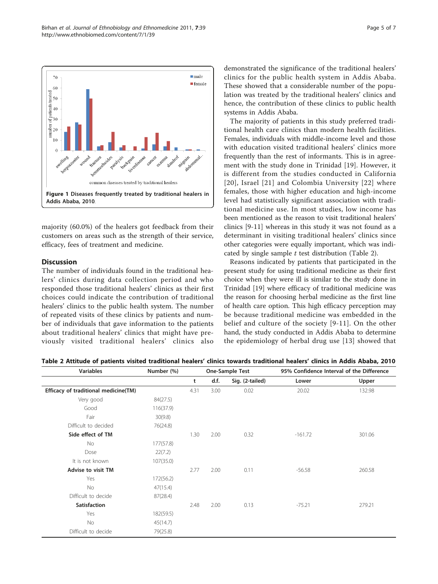<span id="page-4-0"></span>

majority (60.0%) of the healers got feedback from their customers on areas such as the strength of their service, efficacy, fees of treatment and medicine.

# **Discussion**

The number of individuals found in the traditional healers' clinics during data collection period and who responded those traditional healers' clinics as their first choices could indicate the contribution of traditional healers' clinics to the public health system. The number of repeated visits of these clinics by patients and number of individuals that gave information to the patients about traditional healers' clinics that might have previously visited traditional healers' clinics also demonstrated the significance of the traditional healers' clinics for the public health system in Addis Ababa. These showed that a considerable number of the population was treated by the traditional healers' clinics and hence, the contribution of these clinics to public health systems in Addis Ababa.

The majority of patients in this study preferred traditional health care clinics than modern health facilities. Females, individuals with middle-income level and those with education visited traditional healers' clinics more frequently than the rest of informants. This is in agreement with the study done in Trinidad [\[19](#page-6-0)]. However, it is different from the studies conducted in California [[20\]](#page-6-0), Israel [[21](#page-6-0)] and Colombia University [[22](#page-6-0)] where females, those with higher education and high-income level had statistically significant association with traditional medicine use. In most studies, low income has been mentioned as the reason to visit traditional healers' clinics [[9-11\]](#page-6-0) whereas in this study it was not found as a determinant in visiting traditional healers' clinics since other categories were equally important, which was indicated by single sample  $t$  test distribution (Table 2).

Reasons indicated by patients that participated in the present study for using traditional medicine as their first choice when they were ill is similar to the study done in Trinidad [\[19\]](#page-6-0) where efficacy of traditional medicine was the reason for choosing herbal medicine as the first line of health care option. This high efficacy perception may be because traditional medicine was embedded in the belief and culture of the society [[9](#page-6-0)-[11\]](#page-6-0). On the other hand, the study conducted in Addis Ababa to determine the epidemiology of herbal drug use [[13](#page-6-0)] showed that

| Table 2 Attitude of patients visited traditional healers' clinics towards traditional healers' clinics in Addis Ababa, 2010 |  |  |  |
|-----------------------------------------------------------------------------------------------------------------------------|--|--|--|
|                                                                                                                             |  |  |  |

| <b>Variables</b>                     | Number (%) | One-Sample Test |      |                 | 95% Confidence Interval of the Difference |        |
|--------------------------------------|------------|-----------------|------|-----------------|-------------------------------------------|--------|
|                                      |            | t               | d.f. | Sig. (2-tailed) | Lower                                     | Upper  |
| Efficacy of traditional medicine(TM) |            | 4.31            | 3.00 | 0.02            | 20.02                                     | 132.98 |
| Very good                            | 84(27.5)   |                 |      |                 |                                           |        |
| Good                                 | 116(37.9)  |                 |      |                 |                                           |        |
| Fair                                 | 30(9.8)    |                 |      |                 |                                           |        |
| Difficult to decided                 | 76(24.8)   |                 |      |                 |                                           |        |
| Side effect of TM                    |            | 1.30            | 2.00 | 0.32            | $-161.72$                                 | 301.06 |
| No                                   | 177(57.8)  |                 |      |                 |                                           |        |
| Dose                                 | 22(7.2)    |                 |      |                 |                                           |        |
| It is not known                      | 107(35.0)  |                 |      |                 |                                           |        |
| Advise to visit TM                   |            | 2.77            | 2.00 | 0.11            | $-56.58$                                  | 260.58 |
| Yes                                  | 172(56.2)  |                 |      |                 |                                           |        |
| No                                   | 47(15.4)   |                 |      |                 |                                           |        |
| Difficult to decide                  | 87(28.4)   |                 |      |                 |                                           |        |
| Satisfaction                         |            | 2.48            | 2.00 | 0.13            | $-75.21$                                  | 279.21 |
| Yes                                  | 182(59.5)  |                 |      |                 |                                           |        |
| No                                   | 45(14.7)   |                 |      |                 |                                           |        |
| Difficult to decide                  | 79(25.8)   |                 |      |                 |                                           |        |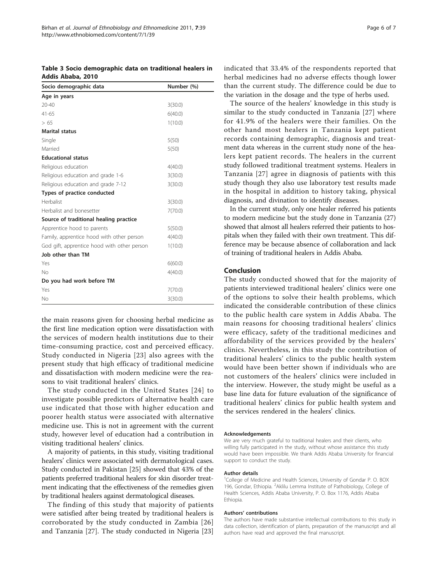<span id="page-5-0"></span>Table 3 Socio demographic data on traditional healers in Addis Ababa, 2010

| Socio demographic data                      | Number (%) |  |  |
|---------------------------------------------|------------|--|--|
| Age in years                                |            |  |  |
| $20 - 40$                                   | 3(30.0)    |  |  |
| $41 - 65$                                   | 6(40.0)    |  |  |
| >65                                         | 1(10.0)    |  |  |
| <b>Marital status</b>                       |            |  |  |
| Single                                      | 5(50)      |  |  |
| Married                                     | 5(50)      |  |  |
| <b>Educational status</b>                   |            |  |  |
| Religious education                         | 4(40.0)    |  |  |
| Religious education and grade 1-6           | 3(30.0)    |  |  |
| Religious education and grade 7-12          | 3(30.0)    |  |  |
| Types of practice conducted                 |            |  |  |
| Herbalist                                   | 3(30.0)    |  |  |
| Herbalist and bonesetter                    | 7(70.0)    |  |  |
| Source of traditional healing practice      |            |  |  |
| Apprentice hood to parents                  | 5(50.0)    |  |  |
| Family, apprentice hood with other person   | 4(40.0)    |  |  |
| God gift, apprentice hood with other person | 1(10.0)    |  |  |
| Job other than TM                           |            |  |  |
| Yes                                         | 6(60.0)    |  |  |
| No                                          | 4(40.0)    |  |  |
| Do you had work before TM                   |            |  |  |
| Yes                                         | 7(70.0)    |  |  |
| No                                          | 3(30.0)    |  |  |

the main reasons given for choosing herbal medicine as the first line medication option were dissatisfaction with the services of modern health institutions due to their time-consuming practice, cost and perceived efficacy. Study conducted in Nigeria [[23\]](#page-6-0) also agrees with the present study that high efficacy of traditional medicine and dissatisfaction with modern medicine were the reasons to visit traditional healers' clinics.

The study conducted in the United States [[24](#page-6-0)] to investigate possible predictors of alternative health care use indicated that those with higher education and poorer health status were associated with alternative medicine use. This is not in agreement with the current study, however level of education had a contribution in visiting traditional healers' clinics.

A majority of patients, in this study, visiting traditional healers' clinics were associated with dermatological cases. Study conducted in Pakistan [\[25\]](#page-6-0) showed that 43% of the patients preferred traditional healers for skin disorder treatment indicating that the effectiveness of the remedies given by traditional healers against dermatological diseases.

The finding of this study that majority of patients were satisfied after being treated by traditional healers is corroborated by the study conducted in Zambia [[26](#page-6-0)] and Tanzania [\[27](#page-6-0)]. The study conducted in Nigeria [[23](#page-6-0)]

indicated that 33.4% of the respondents reported that herbal medicines had no adverse effects though lower than the current study. The difference could be due to the variation in the dosage and the type of herbs used.

The source of the healers' knowledge in this study is similar to the study conducted in Tanzania [\[27\]](#page-6-0) where for 41.9% of the healers were their families. On the other hand most healers in Tanzania kept patient records containing demographic, diagnosis and treatment data whereas in the current study none of the healers kept patient records. The healers in the current study followed traditional treatment systems. Healers in Tanzania [[27\]](#page-6-0) agree in diagnosis of patients with this study though they also use laboratory test results made in the hospital in addition to history taking, physical diagnosis, and divination to identify diseases.

In the current study, only one healer referred his patients to modern medicine but the study done in Tanzania (27) showed that almost all healers referred their patients to hospitals when they failed with their own treatment. This difference may be because absence of collaboration and lack of training of traditional healers in Addis Ababa.

# Conclusion

The study conducted showed that for the majority of patients interviewed traditional healers' clinics were one of the options to solve their health problems, which indicated the considerable contribution of these clinics to the public health care system in Addis Ababa. The main reasons for choosing traditional healers' clinics were efficacy, safety of the traditional medicines and affordability of the services provided by the healers' clinics. Nevertheless, in this study the contribution of traditional healers' clinics to the public health system would have been better shown if individuals who are not customers of the healers' clinics were included in the interview. However, the study might be useful as a base line data for future evaluation of the significance of traditional healers' clinics for public health system and the services rendered in the healers' clinics.

#### Acknowledgements

We are very much grateful to traditional healers and their clients, who willing fully participated in the study, without whose assistance this study would have been impossible. We thank Addis Ababa University for financial support to conduct the study.

#### Author details

<sup>1</sup>College of Medicine and Health Sciences, University of Gondar P. O. BOX 196, Gondar, Ethiopia. <sup>2</sup> Aklilu Lemma Institute of Pathobiology, College of Health Sciences, Addis Ababa University, P. O. Box 1176, Addis Ababa Ethiopia.

#### Authors' contributions

The authors have made substantive intellectual contributions to this study in data collection, identification of plants, preparation of the manuscript and all authors have read and approved the final manuscript.